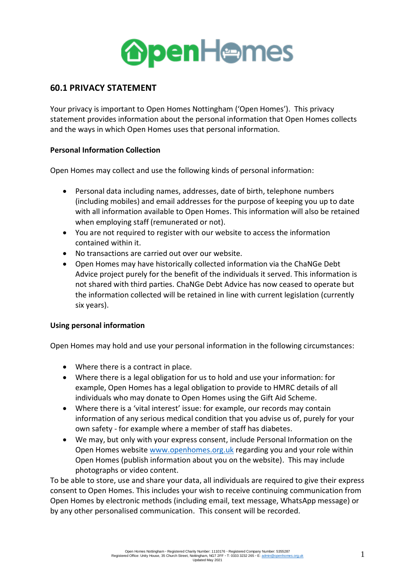

# **60.1 PRIVACY STATEMENT**

Your privacy is important to Open Homes Nottingham ('Open Homes'). This privacy statement provides information about the personal information that Open Homes collects and the ways in which Open Homes uses that personal information.

# **Personal Information Collection**

Open Homes may collect and use the following kinds of personal information:

- Personal data including names, addresses, date of birth, telephone numbers (including mobiles) and email addresses for the purpose of keeping you up to date with all information available to Open Homes. This information will also be retained when employing staff (remunerated or not).
- You are not required to register with our website to access the information contained within it.
- No transactions are carried out over our website.
- Open Homes may have historically collected information via the ChaNGe Debt Advice project purely for the benefit of the individuals it served. This information is not shared with third parties. ChaNGe Debt Advice has now ceased to operate but the information collected will be retained in line with current legislation (currently six years).

### **Using personal information**

Open Homes may hold and use your personal information in the following circumstances:

- Where there is a contract in place.
- Where there is a legal obligation for us to hold and use your information: for example, Open Homes has a legal obligation to provide to HMRC details of all individuals who may donate to Open Homes using the Gift Aid Scheme.
- Where there is a 'vital interest' issue: for example, our records may contain information of any serious medical condition that you advise us of, purely for your own safety - for example where a member of staff has diabetes.
- We may, but only with your express consent, include Personal Information on the Open Homes website [www.openhomes.org.uk](http://www.openhomes.org.uk/) regarding you and your role within Open Homes (publish information about you on the website). This may include photographs or video content.

To be able to store, use and share your data, all individuals are required to give their express consent to Open Homes. This includes your wish to receive continuing communication from Open Homes by electronic methods (including email, text message, WhatsApp message) or by any other personalised communication. This consent will be recorded.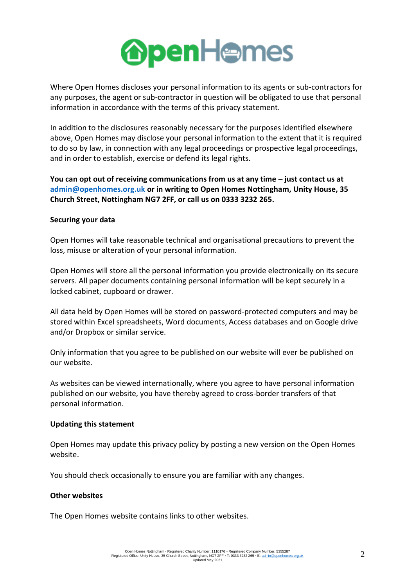

Where Open Homes discloses your personal information to its agents or sub-contractors for any purposes, the agent or sub-contractor in question will be obligated to use that personal information in accordance with the terms of this privacy statement.

In addition to the disclosures reasonably necessary for the purposes identified elsewhere above, Open Homes may disclose your personal information to the extent that it is required to do so by law, in connection with any legal proceedings or prospective legal proceedings, and in order to establish, exercise or defend its legal rights.

**You can opt out of receiving communications from us at any time – just contact us at [admin@openhomes.org.uk](mailto:admin@openhomes.org.uk) or in writing to Open Homes Nottingham, Unity House, 35 Church Street, Nottingham NG7 2FF, or call us on 0333 3232 265.**

### **Securing your data**

Open Homes will take reasonable technical and organisational precautions to prevent the loss, misuse or alteration of your personal information.

Open Homes will store all the personal information you provide electronically on its secure servers. All paper documents containing personal information will be kept securely in a locked cabinet, cupboard or drawer.

All data held by Open Homes will be stored on password-protected computers and may be stored within Excel spreadsheets, Word documents, Access databases and on Google drive and/or Dropbox or similar service.

Only information that you agree to be published on our website will ever be published on our website.

As websites can be viewed internationally, where you agree to have personal information published on our website, you have thereby agreed to cross-border transfers of that personal information.

### **Updating this statement**

Open Homes may update this privacy policy by posting a new version on the Open Homes website.

You should check occasionally to ensure you are familiar with any changes.

### **Other websites**

The Open Homes website contains links to other websites.